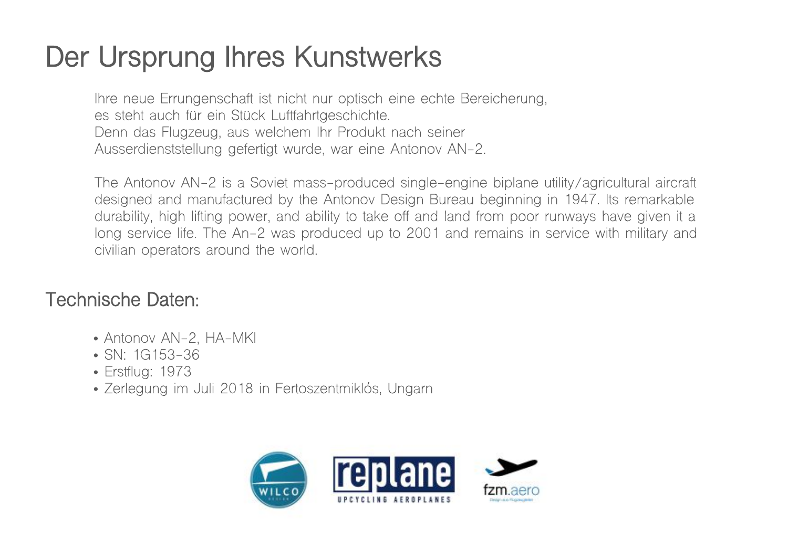## **Der Ursprung Ihres Kunstwerks**

Ihre neue Errungenschaft ist nicht nur optisch eine echte Bereicherung, es steht auch für ein Stück Luftfahrtgeschichte. Denn das Flugzeug, aus welchem Ihr Produkt nach seiner Ausserdienststellung gefertigt wurde, war eine Antonov AN-2.

The Antonov AN-2 is a Soviet mass-produced single-engine biplane utility/agricultural aircraft designed and manufactured by the Antonov Design Bureau beginning in 1947. Its remarkable durability, high lifting power, and ability to take off and land from poor runways have given it a long service life. The An-2 was produced up to 2001 and remains in service with military and civilian operators around the world.

## **Technische Daten:**

- Antonov AN-2, HA-MKI
- SN: 1G153-36
- Erstflug: 1973
- Zerlegung im Juli 2018 in Fertoszentmiklós, Ungarn

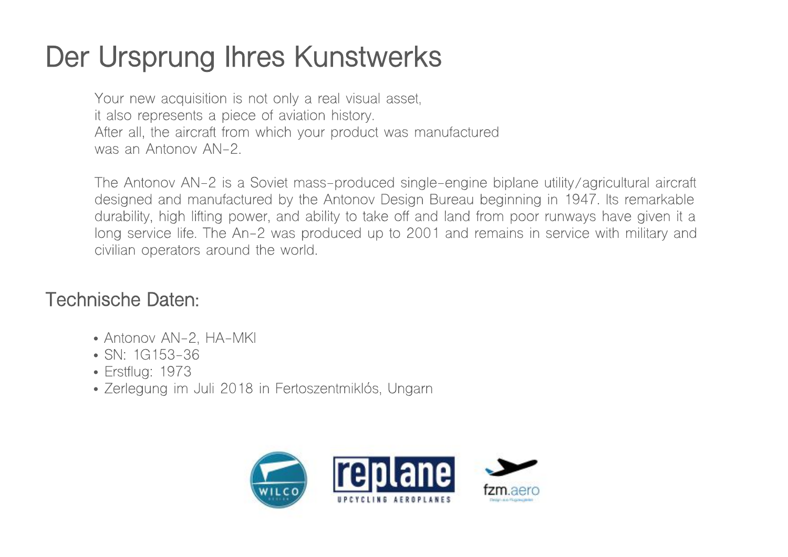## **Der Ursprung Ihres Kunstwerks**

Your new acquisition is not only a real visual asset, it also represents a piece of aviation history. After all, the aircraft from which your product was manufactured was an Antonov AN-2.

The Antonov AN-2 is a Soviet mass-produced single-engine biplane utility/agricultural aircraft designed and manufactured by the Antonov Design Bureau beginning in 1947. Its remarkable durability, high lifting power, and ability to take off and land from poor runways have given it a long service life. The An-2 was produced up to 2001 and remains in service with military and civilian operators around the world.

## **Technische Daten:**

- Antonov AN-2, HA-MKI
- SN: 1G153-36
- Erstflug: 1973
- Zerlegung im Juli 2018 in Fertoszentmiklós, Ungarn

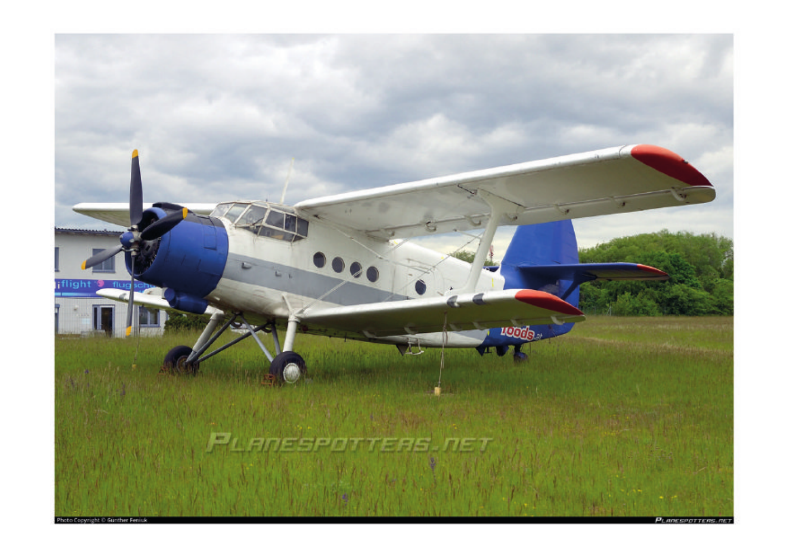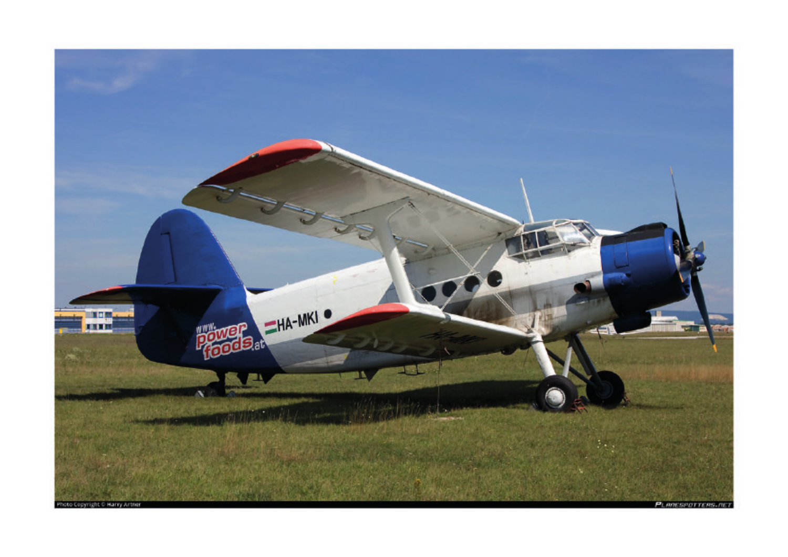